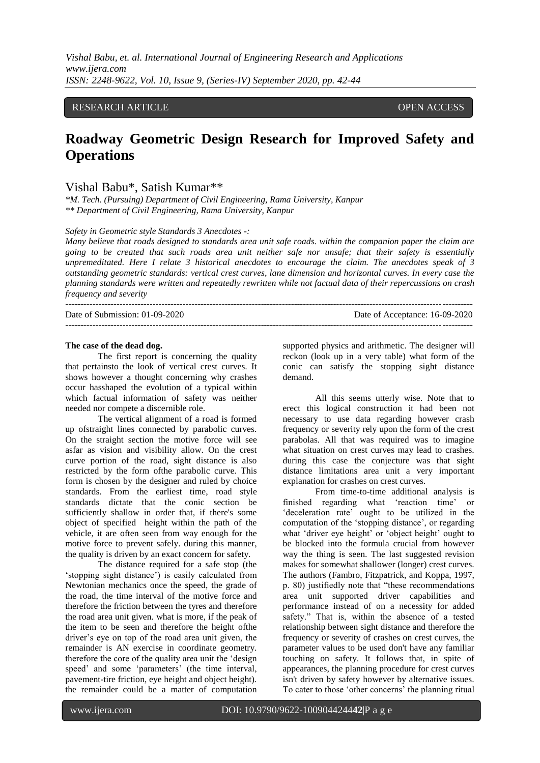### RESEARCH ARTICLE **CONTRACT ARTICLE** AND LOTEN ACCESS OPEN ACCESS

# **Roadway Geometric Design Research for Improved Safety and Operations**

## Vishal Babu\*, Satish Kumar\*\*

*\*M. Tech. (Pursuing) Department of Civil Engineering, Rama University, Kanpur \*\* Department of Civil Engineering, Rama University, Kanpur*

*Safety in Geometric style Standards 3 Anecdotes -:*

*Many believe that roads designed to standards area unit safe roads. within the companion paper the claim are going to be created that such roads area unit neither safe nor unsafe; that their safety is essentially unpremeditated. Here I relate 3 historical anecdotes to encourage the claim. The anecdotes speak of 3 outstanding geometric standards: vertical crest curves, lane dimension and horizontal curves. In every case the planning standards were written and repeatedly rewritten while not factual data of their repercussions on crash frequency and severity*

| Date of Submission: $01-09-2020$ | Date of Acceptance: 16-09-2020 |
|----------------------------------|--------------------------------|
|                                  |                                |

#### **The case of the dead dog.**

The first report is concerning the quality that pertainsto the look of vertical crest curves. It shows however a thought concerning why crashes occur hasshaped the evolution of a typical within which factual information of safety was neither needed nor compete a discernible role.

The vertical alignment of a road is formed up ofstraight lines connected by parabolic curves. On the straight section the motive force will see asfar as vision and visibility allow. On the crest curve portion of the road, sight distance is also restricted by the form ofthe parabolic curve. This form is chosen by the designer and ruled by choice standards. From the earliest time, road style standards dictate that the conic section be sufficiently shallow in order that, if there's some object of specified height within the path of the vehicle, it are often seen from way enough for the motive force to prevent safely. during this manner, the quality is driven by an exact concern for safety.

The distance required for a safe stop (the "stopping sight distance") is easily calculated from Newtonian mechanics once the speed, the grade of the road, the time interval of the motive force and therefore the friction between the tyres and therefore the road area unit given. what is more, if the peak of the item to be seen and therefore the height ofthe driver"s eye on top of the road area unit given, the remainder is AN exercise in coordinate geometry. therefore the core of the quality area unit the "design speed' and some 'parameters' (the time interval, pavement-tire friction, eye height and object height). the remainder could be a matter of computation supported physics and arithmetic. The designer will reckon (look up in a very table) what form of the conic can satisfy the stopping sight distance demand.

All this seems utterly wise. Note that to erect this logical construction it had been not necessary to use data regarding however crash frequency or severity rely upon the form of the crest parabolas. All that was required was to imagine what situation on crest curves may lead to crashes. during this case the conjecture was that sight distance limitations area unit a very important explanation for crashes on crest curves.

From time-to-time additional analysis is finished regarding what "reaction time" or "deceleration rate" ought to be utilized in the computation of the 'stopping distance', or regarding what 'driver eye height' or 'object height' ought to be blocked into the formula crucial from however way the thing is seen. The last suggested revision makes for somewhat shallower (longer) crest curves. The authors (Fambro, Fitzpatrick, and Koppa, 1997, p. 80) justifiedly note that "these recommendations area unit supported driver capabilities and performance instead of on a necessity for added safety." That is, within the absence of a tested relationship between sight distance and therefore the frequency or severity of crashes on crest curves, the parameter values to be used don't have any familiar touching on safety. It follows that, in spite of appearances, the planning procedure for crest curves isn't driven by safety however by alternative issues. To cater to those "other concerns" the planning ritual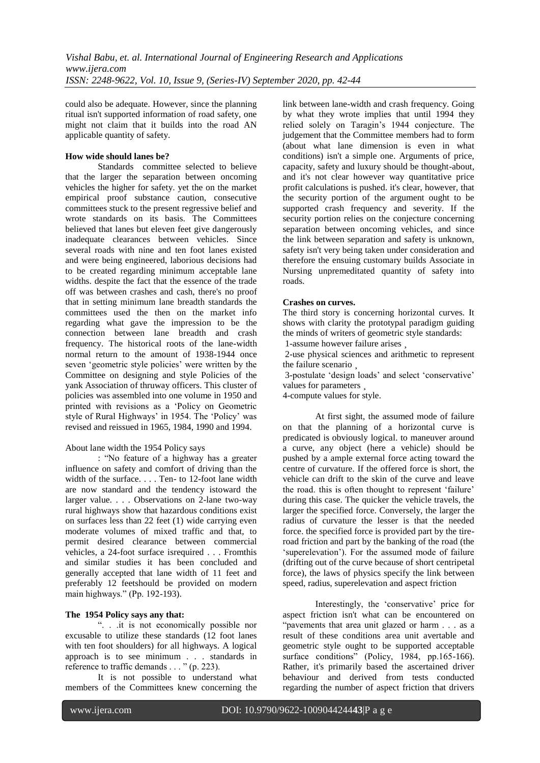could also be adequate. However, since the planning ritual isn't supported information of road safety, one might not claim that it builds into the road AN applicable quantity of safety.

### **How wide should lanes be?**

Standards committee selected to believe that the larger the separation between oncoming vehicles the higher for safety. yet the on the market empirical proof substance caution, consecutive committees stuck to the present regressive belief and wrote standards on its basis. The Committees believed that lanes but eleven feet give dangerously inadequate clearances between vehicles. Since several roads with nine and ten foot lanes existed and were being engineered, laborious decisions had to be created regarding minimum acceptable lane widths. despite the fact that the essence of the trade off was between crashes and cash, there's no proof that in setting minimum lane breadth standards the committees used the then on the market info regarding what gave the impression to be the connection between lane breadth and crash frequency. The historical roots of the lane-width normal return to the amount of 1938-1944 once seven "geometric style policies" were written by the Committee on designing and style Policies of the yank Association of thruway officers. This cluster of policies was assembled into one volume in 1950 and printed with revisions as a "Policy on Geometric style of Rural Highways" in 1954. The "Policy" was revised and reissued in 1965, 1984, 1990 and 1994.

#### About lane width the 1954 Policy says

: "No feature of a highway has a greater influence on safety and comfort of driving than the width of the surface. . . . Ten- to 12-foot lane width are now standard and the tendency istoward the larger value. . . . Observations on 2-lane two-way rural highways show that hazardous conditions exist on surfaces less than 22 feet (1) wide carrying even moderate volumes of mixed traffic and that, to permit desired clearance between commercial vehicles, a 24-foot surface isrequired . . . Fromthis and similar studies it has been concluded and generally accepted that lane width of 11 feet and preferably 12 feetshould be provided on modern main highways." (Pp. 192-193).

# **The 1954 Policy says any that:**

". . .it is not economically possible nor excusable to utilize these standards (12 foot lanes with ten foot shoulders) for all highways. A logical approach is to see minimum . . . standards in reference to traffic demands . . . " (p. 223).

It is not possible to understand what members of the Committees knew concerning the link between lane-width and crash frequency. Going by what they wrote implies that until 1994 they relied solely on Taragin"s 1944 conjecture. The judgement that the Committee members had to form (about what lane dimension is even in what conditions) isn't a simple one. Arguments of price, capacity, safety and luxury should be thought-about, and it's not clear however way quantitative price profit calculations is pushed. it's clear, however, that the security portion of the argument ought to be supported crash frequency and severity. If the security portion relies on the conjecture concerning separation between oncoming vehicles, and since the link between separation and safety is unknown, safety isn't very being taken under consideration and therefore the ensuing customary builds Associate in Nursing unpremeditated quantity of safety into roads.

#### **Crashes on curves.**

The third story is concerning horizontal curves. It shows with clarity the prototypal paradigm guiding the minds of writers of geometric style standards: 1-assume however failure arises ¸

2-use physical sciences and arithmetic to represent

the failure scenario

3-postulate "design loads" and select "conservative" values for parameters ¸

4-compute values for style.

At first sight, the assumed mode of failure on that the planning of a horizontal curve is predicated is obviously logical. to maneuver around a curve, any object (here a vehicle) should be pushed by a ample external force acting toward the centre of curvature. If the offered force is short, the vehicle can drift to the skin of the curve and leave the road. this is often thought to represent 'failure' during this case. The quicker the vehicle travels, the larger the specified force. Conversely, the larger the radius of curvature the lesser is that the needed force. the specified force is provided part by the tireroad friction and part by the banking of the road (the "superelevation"). For the assumed mode of failure (drifting out of the curve because of short centripetal force), the laws of physics specify the link between speed, radius, superelevation and aspect friction

Interestingly, the 'conservative' price for aspect friction isn't what can be encountered on "pavements that area unit glazed or harm . . . as a result of these conditions area unit avertable and geometric style ought to be supported acceptable surface conditions" (Policy, 1984, pp.165-166). Rather, it's primarily based the ascertained driver behaviour and derived from tests conducted regarding the number of aspect friction that drivers